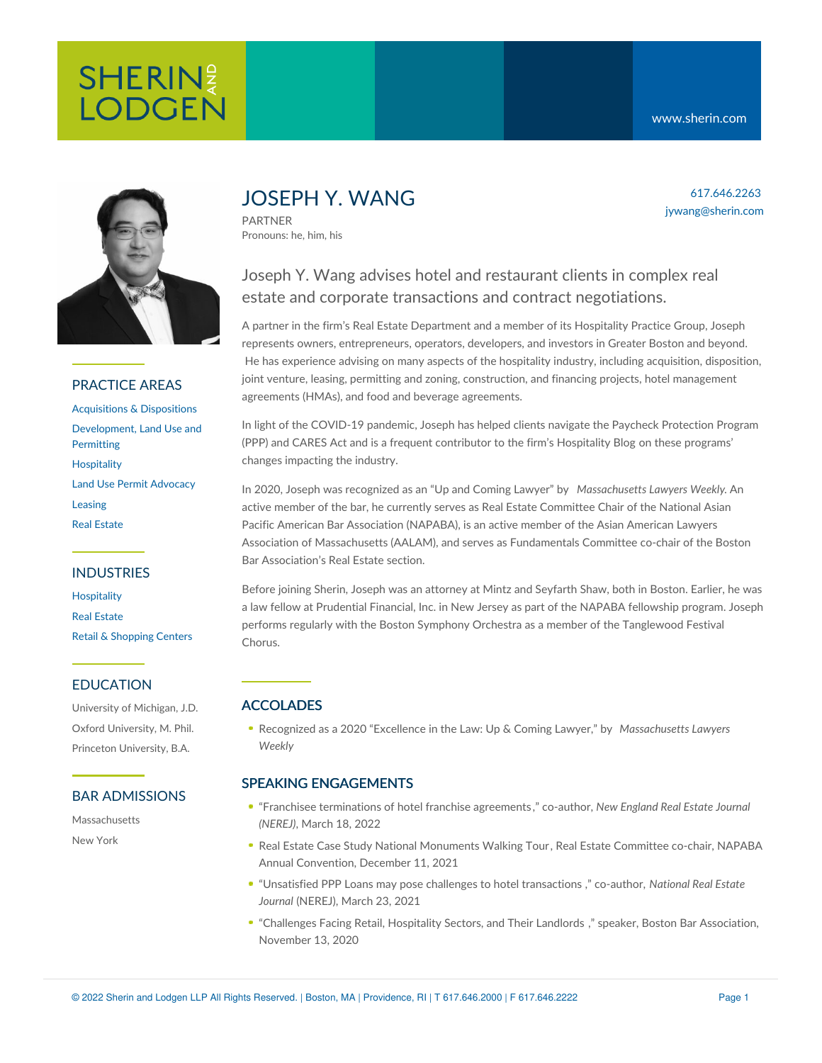

# PRACTICE AREAS

[Acquisitions](https://www.sherin.com/practice-areas/real-estate/acquisitions-and-dispositions/) & Dispositions [Development,](https://www.sherin.com/practice-areas/real-estate/development/) Land Use and **Permitting [Hospitality](https://www.sherin.com/practice-areas/hospitality/)** Land Use Permit [Advocacy](https://www.sherin.com/practice-areas/real-estate/land-use-permit-advocacy/) [Leasing](https://www.sherin.com/practice-areas/real-estate/leasing/) Real [Estate](https://www.sherin.com/practice-areas/real-estate/)

## INDUSTRIES

**[Hospitality](https://www.sherin.com/practice-areas/hospitality/)** Real [Estate](https://www.sherin.com/industries/real-estate/) Retail & [Shopping](https://www.sherin.com/industries/retail-shopping-centers/) Centers

# EDUCATION

University of Michigan, J.D. Oxford University, M. Phil. Princeton University, B.A.

## BAR ADMISSIONS

Massachusetts New York

# JOSEPH Y. WANG

PARTNER Pronouns: he, him, his

# Joseph Y. Wang advises hotel and restaurant clients in complex real estate and corporate transactions and contract negotiations.

A partner in the firm's Real Estate Department and a member of its Hospitality Practice Group, Joseph represents owners, entrepreneurs, operators, developers, and investors in Greater Boston and beyond. He has experience advising on many aspects of the hospitality industry, including acquisition, disposition, joint venture, leasing, permitting and zoning, construction, and financing projects, hotel management agreements (HMAs), and food and beverage agreements.

In light of the COVID-19 pandemic, Joseph has helped clients navigate the Paycheck Protection Program (PPP) and CARES Act and is a frequent contributor to the firm's [Hospitality](https://www.sherin.com/hospitality/) Blog on these programs' changes impacting the industry.

In 2020, Joseph was recognized as an "Up and Coming Lawyer" by *Massachusetts Lawyers Weekly*. An active member of the bar, he currently serves as Real Estate Committee Chair of the National Asian Pacific American Bar Association (NAPABA), is an active member of the Asian American Lawyers Association of Massachusetts (AALAM), and serves as Fundamentals Committee co-chair of the Boston Bar Association's Real Estate section.

Before joining Sherin, Joseph was an attorney at Mintz and Seyfarth Shaw, both in Boston. Earlier, he was a law fellow at Prudential Financial, Inc. in New Jersey as part of the NAPABA fellowship program. Joseph performs regularly with the Boston Symphony Orchestra as a member of the Tanglewood Festival Chorus.

# ACCOLADES

Recognized as a 2020 "Excellence in the Law: Up & Coming Lawyer," by *Massachusetts Lawyers Weekly*

# SPEAKING ENGAGEMENTS

- "Franchisee [terminations](https://nerej.com/franchisee-terminations-of-hotel-franchise-agreements-by-bowman-and-wang) of hotel franchise agreements ," co-author, *New England Real Estate Journal (NEREJ)*, March 18, 2022
- Real Estate Case Study National [Monuments](https://web.cvent.com/event/8d07760b-0c5f-40ad-8e6c-a612ce75ffa0/summary) Walking Tour, Real Estate Committee co-chair, NAPABA Annual Convention, December 11, 2021
- "Unsatisfied PPP Loans may pose challenges to hotel [transactions](https://www.sherin.com/hospitality/wp-content/uploads/sites/6/2021/03/NEREJ-March-2021-Bowman-Wang-Reprint.pdf) ," co-author, *National Real Estate Journal* (NEREJ), March 23, 2021
- "Challenges Facing Retail, [Hospitality](https://bostonbar.org/membership/events/event-details?ID=36595) Sectors, and Their Landlords ," speaker, Boston Bar Association, November 13, 2020

617.646.2263 jywang@sherin.com